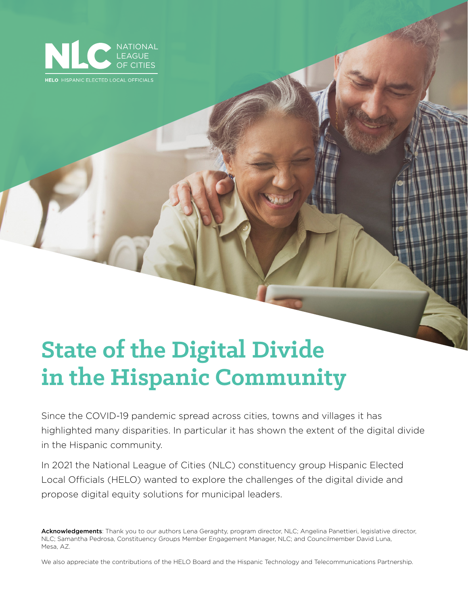

**HELO** HISPANIC ELECTED LOCAL OFFICIALS

# **State of the Digital Divide in the Hispanic Community**

Since the COVID-19 pandemic spread across cities, towns and villages it has highlighted many disparities. In particular it has shown the extent of the digital divide in the Hispanic community.

In 2021 the National League of Cities (NLC) constituency group Hispanic Elected Local Officials (HELO) wanted to explore the challenges of the digital divide and propose digital equity solutions for municipal leaders.

Acknowledgements: Thank you to our authors Lena Geraghty, program director, NLC; Angelina Panettieri, legislative director, NLC; Samantha Pedrosa, Constituency Groups Member Engagement Manager, NLC; and Councilmember David Luna, Mesa, AZ.

We also appreciate the contributions of the HELO Board and the Hispanic Technology and Telecommunications Partnership.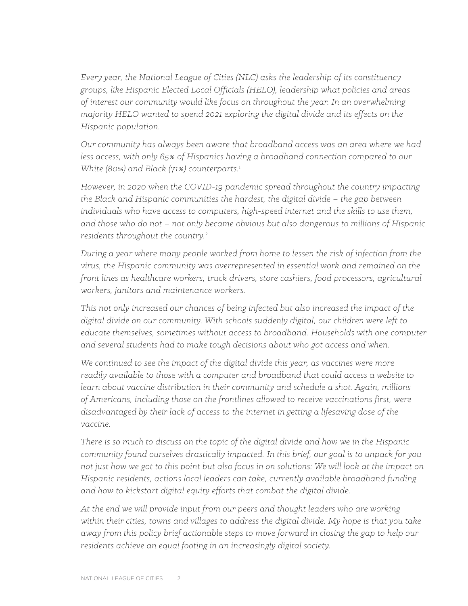*Every year, the National League of Cities (NLC) asks the leadership of its constituency groups, like Hispanic Elected Local Officials (HELO), leadership what policies and areas of interest our community would like focus on throughout the year. In an overwhelming majority HELO wanted to spend 2021 exploring the digital divide and its effects on the Hispanic population.* 

*Our community has always been aware that broadband access was an area where we had less access, with only 65% of Hispanics having a broadband connection compared to our White (80%) and Black (71%) counterparts.1*

*However, in 2020 when the COVID-19 pandemic spread throughout the country impacting the Black and Hispanic communities the hardest, the digital divide – the gap between individuals who have access to computers, high-speed internet and the skills to use them, and those who do not – not only became obvious but also dangerous to millions of Hispanic residents throughout the country.2*

*During a year where many people worked from home to lessen the risk of infection from the virus, the Hispanic community was overrepresented in essential work and remained on the front lines as healthcare workers, truck drivers, store cashiers, food processors, agricultural workers, janitors and maintenance workers.*

*This not only increased our chances of being infected but also increased the impact of the digital divide on our community. With schools suddenly digital, our children were left to educate themselves, sometimes without access to broadband. Households with one computer and several students had to make tough decisions about who got access and when.* 

*We continued to see the impact of the digital divide this year, as vaccines were more readily available to those with a computer and broadband that could access a website to learn about vaccine distribution in their community and schedule a shot. Again, millions of Americans, including those on the frontlines allowed to receive vaccinations first, were disadvantaged by their lack of access to the internet in getting a lifesaving dose of the vaccine.*

*There is so much to discuss on the topic of the digital divide and how we in the Hispanic community found ourselves drastically impacted. In this brief, our goal is to unpack for you not just how we got to this point but also focus in on solutions: We will look at the impact on Hispanic residents, actions local leaders can take, currently available broadband funding and how to kickstart digital equity efforts that combat the digital divide.*

*At the end we will provide input from our peers and thought leaders who are working within their cities, towns and villages to address the digital divide. My hope is that you take away from this policy brief actionable steps to move forward in closing the gap to help our residents achieve an equal footing in an increasingly digital society.*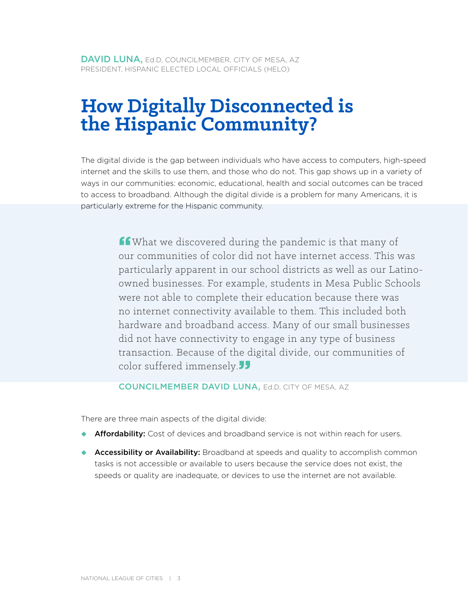## **How Digitally Disconnected is the Hispanic Community?**

The digital divide is the gap between individuals who have access to computers, high-speed internet and the skills to use them, and those who do not. This gap shows up in a variety of ways in our communities: economic, educational, health and social outcomes can be traced to access to broadband. Although the digital divide is a problem for many Americans, it is particularly extreme for the Hispanic community.

> for What we discovered during the pandemic is that many of our communities of color did not have internet access. This was particularly apparent in our school districts as well as our Latinoowned businesses. For example, students in Mesa Public Schools were not able to complete their education because there was no internet connectivity available to them. This included both hardware and broadband access. Many of our small businesses did not have connectivity to engage in any type of business transaction. Because of the digital divide, our communities of color suffered immensely. $JJ$

#### COUNCILMEMBER DAVID LUNA, Ed.D, CITY OF MESA, AZ

There are three main aspects of the digital divide:

- ◆ **Affordability:** Cost of devices and broadband service is not within reach for users.
- ◆ **Accessibility or Availability:** Broadband at speeds and quality to accomplish common tasks is not accessible or available to users because the service does not exist, the speeds or quality are inadequate, or devices to use the internet are not available.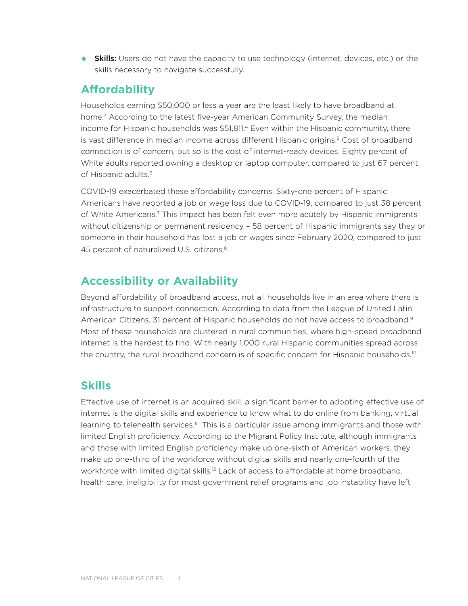**Skills:** Users do not have the capacity to use technology (internet, devices, etc.) or the skills necessary to navigate successfully.

### **Affordability**

Households earning \$50,000 or less a year are the least likely to have broadband at home.<sup>3</sup> According to the latest five-year American Community Survey, the median income for Hispanic households was \$51,811.4 Even within the Hispanic community, there is vast difference in median income across different Hispanic origins.<sup>5</sup> Cost of broadband connection is of concern, but so is the cost of internet-ready devices. Eighty percent of White adults reported owning a desktop or laptop computer, compared to just 67 percent of Hispanic adults.<sup>6</sup>

COVID-19 exacerbated these affordability concerns. Sixty-one percent of Hispanic Americans have reported a job or wage loss due to COVID-19, compared to just 38 percent of White Americans.7 This impact has been felt even more acutely by Hispanic immigrants without citizenship or permanent residency – 58 percent of Hispanic immigrants say they or someone in their household has lost a job or wages since February 2020, compared to just 45 percent of naturalized U.S. citizens.<sup>8</sup>

## **Accessibility or Availability**

Beyond affordability of broadband access, not all households live in an area where there is infrastructure to support connection. According to data from the League of United Latin American Citizens, 31 percent of Hispanic households do not have access to broadband.<sup>9</sup> Most of these households are clustered in rural communities, where high-speed broadband internet is the hardest to find. With nearly 1,000 rural Hispanic communities spread across the country, the rural-broadband concern is of specific concern for Hispanic households.<sup>10</sup>

## **Skills**

Effective use of internet is an acquired skill, a significant barrier to adopting effective use of internet is the digital skills and experience to know what to do online from banking, virtual learning to telehealth services.<sup>11</sup> This is a particular issue among immigrants and those with limited English proficiency. According to the Migrant Policy Institute, although immigrants and those with limited English proficiency make up one-sixth of American workers, they make up one-third of the workforce without digital skills and nearly one-fourth of the workforce with limited digital skills.<sup>12</sup> Lack of access to affordable at home broadband, health care, ineligibility for most government relief programs and job instability have left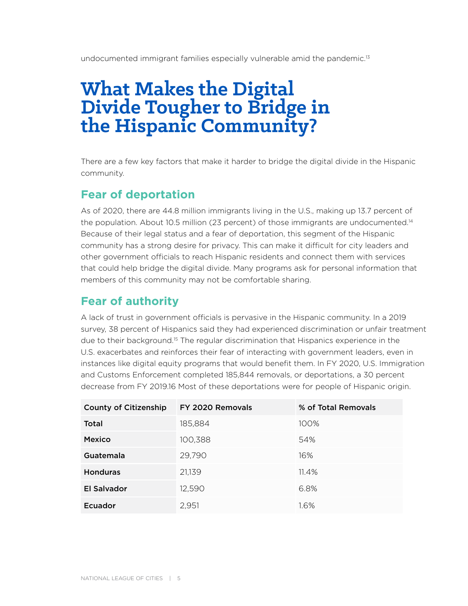undocumented immigrant families especially vulnerable amid the pandemic.<sup>13</sup>

## **What Makes the Digital Divide Tougher to Bridge in the Hispanic Community?**

There are a few key factors that make it harder to bridge the digital divide in the Hispanic community.

## **Fear of deportation**

As of 2020, there are 44.8 million immigrants living in the U.S., making up 13.7 percent of the population. About 10.5 million (23 percent) of those immigrants are undocumented.<sup>14</sup> Because of their legal status and a fear of deportation, this segment of the Hispanic community has a strong desire for privacy. This can make it difficult for city leaders and other government officials to reach Hispanic residents and connect them with services that could help bridge the digital divide. Many programs ask for personal information that members of this community may not be comfortable sharing.

## **Fear of authority**

A lack of trust in government officials is pervasive in the Hispanic community. In a 2019 survey, 38 percent of Hispanics said they had experienced discrimination or unfair treatment due to their background.15 The regular discrimination that Hispanics experience in the U.S. exacerbates and reinforces their fear of interacting with government leaders, even in instances like digital equity programs that would benefit them. In FY 2020, U.S. Immigration and Customs Enforcement completed 185,844 removals, or deportations, a 30 percent decrease from FY 2019.16 Most of these deportations were for people of Hispanic origin.

| <b>County of Citizenship</b> | FY 2020 Removals | % of Total Removals |
|------------------------------|------------------|---------------------|
| Total                        | 185,884          | 100%                |
| <b>Mexico</b>                | 100,388          | 54%                 |
| Guatemala                    | 29,790           | 16%                 |
| <b>Honduras</b>              | 21,139           | 11.4%               |
| El Salvador                  | 12,590           | 6.8%                |
| Ecuador                      | 2,951            | 1.6%                |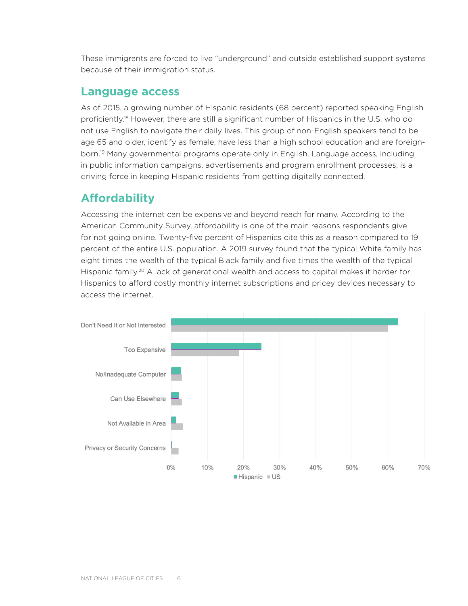These immigrants are forced to live "underground" and outside established support systems because of their immigration status.

### **Language access**

As of 2015, a growing number of Hispanic residents (68 percent) reported speaking English proficiently.18 However, there are still a significant number of Hispanics in the U.S. who do not use English to navigate their daily lives. This group of non-English speakers tend to be age 65 and older, identify as female, have less than a high school education and are foreignborn.<sup>19</sup> Many governmental programs operate only in English. Language access, including in public information campaigns, advertisements and program enrollment processes, is a driving force in keeping Hispanic residents from getting digitally connected.

## **Affordability**

Accessing the internet can be expensive and beyond reach for many. According to the American Community Survey, affordability is one of the main reasons respondents give for not going online. Twenty-five percent of Hispanics cite this as a reason compared to 19 percent of the entire U.S. population. A 2019 survey found that the typical White family has eight times the wealth of the typical Black family and five times the wealth of the typical Hispanic family.<sup>20</sup> A lack of generational wealth and access to capital makes it harder for Hispanics to afford costly monthly internet subscriptions and pricey devices necessary to access the internet.

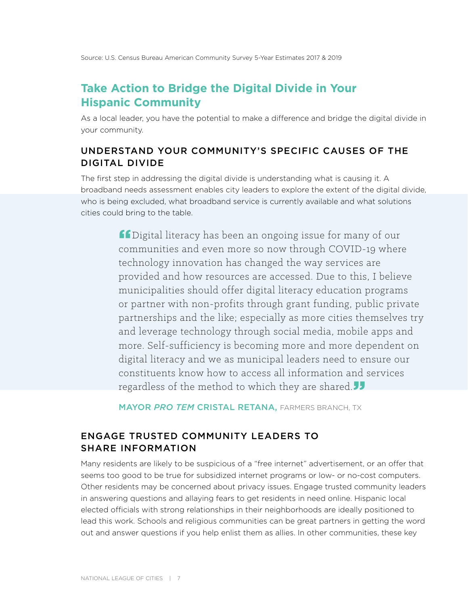### **Take Action to Bridge the Digital Divide in Your Hispanic Community**

As a local leader, you have the potential to make a difference and bridge the digital divide in your community.

#### UNDERSTAND YOUR COMMUNITY'S SPECIFIC CAUSES OF THE DIGITAL DIVIDE

The first step in addressing the digital divide is understanding what is causing it. A broadband needs assessment enables city leaders to explore the extent of the digital divide, who is being excluded, what broadband service is currently available and what solutions cities could bring to the table.

> **ff** Digital literacy has been an ongoing issue for many of our communities and even more so now through COVID-19 where technology innovation has changed the way services are provided and how resources are accessed. Due to this, I believe municipalities should offer digital literacy education programs or partner with non-profits through grant funding, public private partnerships and the like; especially as more cities themselves try and leverage technology through social media, mobile apps and more. Self-sufficiency is becoming more and more dependent on digital literacy and we as municipal leaders need to ensure our constituents know how to access all information and services regardless of the method to which they are shared. $J$

MAYOR *PRO TEM* CRISTAL RETANA, FARMERS BRANCH, TX

#### ENGAGE TRUSTED COMMUNITY LEADERS TO SHARE INFORMATION

Many residents are likely to be suspicious of a "free internet" advertisement, or an offer that seems too good to be true for subsidized internet programs or low- or no-cost computers. Other residents may be concerned about privacy issues. Engage trusted community leaders in answering questions and allaying fears to get residents in need online. Hispanic local elected officials with strong relationships in their neighborhoods are ideally positioned to lead this work. Schools and religious communities can be great partners in getting the word out and answer questions if you help enlist them as allies. In other communities, these key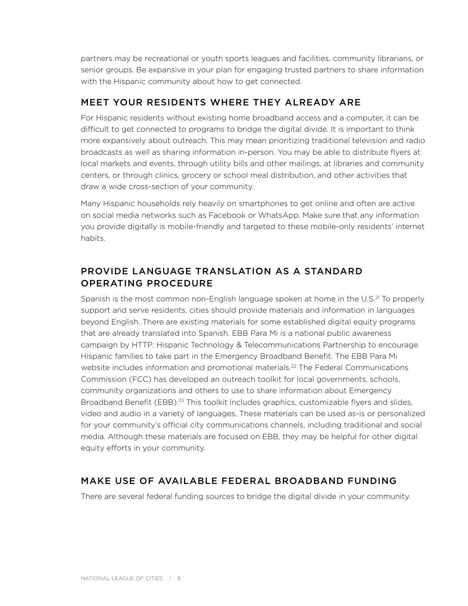partners may be recreational or youth sports leagues and facilities, community librarians, or senior groups. Be expansive in your plan for engaging trusted partners to share information with the Hispanic community about how to get connected.

#### MEET YOUR RESIDENTS WHERE THEY ALREADY ARE

For Hispanic residents without existing home broadband access and a computer, it can be difficult to get connected to programs to bridge the digital divide. It is important to think more expansively about outreach. This may mean prioritizing traditional television and radio broadcasts as well as sharing information in-person. You may be able to distribute flyers at local markets and events, through utility bills and other mailings, at libraries and community centers, or through clinics, grocery or school meal distribution, and other activities that draw a wide cross-section of your community.

Many Hispanic households rely heavily on smartphones to get online and often are active on social media networks such as Facebook or WhatsApp. Make sure that any information you provide digitally is mobile-friendly and targeted to these mobile-only residents' internet habits.

#### PROVIDE LANGUAGE TRANSLATION AS A STANDARD OPERATING PROCEDURE

Spanish is the most common non-English language spoken at home in the U.S.<sup>21</sup> To properly support and serve residents, cities should provide materials and information in languages beyond English. There are existing materials for some established digital equity programs that are already translated into Spanish. EBB Para Mi is a national public awareness campaign by HTTP: Hispanic Technology & Telecommunications Partnership to encourage Hispanic families to take part in the Emergency Broadband Benefit. The EBB Para Mi website includes information and promotional materials.<sup>22</sup> The Federal Communications Commission (FCC) has developed an outreach toolkit for local governments, schools, community organizations and others to use to share information about Emergency Broadband Benefit (EBB).<sup>23</sup> This toolkit includes graphics, customizable flyers and slides, video and audio in a variety of languages. These materials can be used as-is or personalized for your community's official city communications channels, including traditional and social media. Although these materials are focused on EBB, they may be helpful for other digital equity efforts in your community.

#### MAKE USE OF AVAILABLE FEDERAL BROADBAND FUNDING

There are several federal funding sources to bridge the digital divide in your community.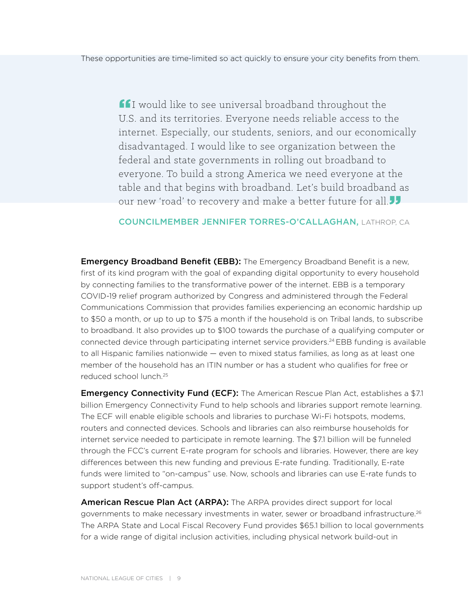**If** I would like to see universal broadband throughout the U.S. and its territories. Everyone needs reliable access to the internet. Especially, our students, seniors, and our economically disadvantaged. I would like to see organization between the federal and state governments in rolling out broadband to everyone. To build a strong America we need everyone at the table and that begins with broadband. Let's build broadband as our new 'road' to recovery and make a better future for all.<sup>11</sup>

#### COUNCILMEMBER JENNIFER TORRES-O'CALLAGHAN, LATHROP, CA

**Emergency Broadband Benefit (EBB):** The Emergency Broadband Benefit is a new, first of its kind program with the goal of expanding digital opportunity to every household by connecting families to the transformative power of the internet. EBB is a temporary COVID-19 relief program authorized by Congress and administered through the Federal Communications Commission that provides families experiencing an economic hardship up to \$50 a month, or up to up to \$75 a month if the household is on Tribal lands, to subscribe to broadband. It also provides up to \$100 towards the purchase of a qualifying computer or connected device through participating internet service providers.<sup>24</sup> EBB funding is available to all Hispanic families nationwide — even to mixed status families, as long as at least one member of the household has an ITIN number or has a student who qualifies for free or reduced school lunch.25

**Emergency Connectivity Fund (ECF):** The American Rescue Plan Act, establishes a \$7.1 billion Emergency Connectivity Fund to help schools and libraries support remote learning. The ECF will enable eligible schools and libraries to purchase Wi-Fi hotspots, modems, routers and connected devices. Schools and libraries can also reimburse households for internet service needed to participate in remote learning. The \$7.1 billion will be funneled through the FCC's current E-rate program for schools and libraries. However, there are key differences between this new funding and previous E-rate funding. Traditionally, E-rate funds were limited to "on-campus" use. Now, schools and libraries can use E-rate funds to support student's off-campus.

American Rescue Plan Act (ARPA): The ARPA provides direct support for local governments to make necessary investments in water, sewer or broadband infrastructure.<sup>26</sup> The ARPA State and Local Fiscal Recovery Fund provides \$65.1 billion to local governments for a wide range of digital inclusion activities, including physical network build-out in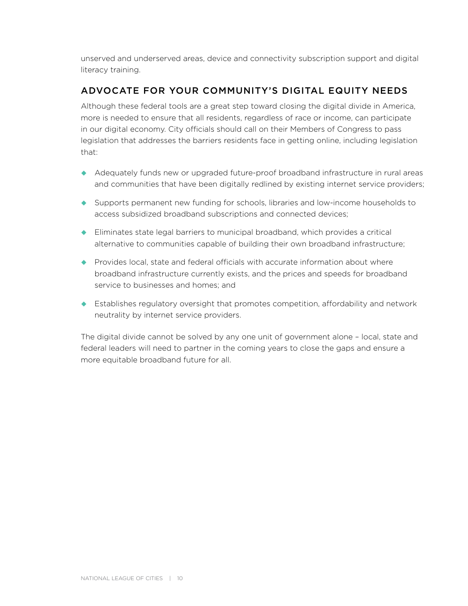unserved and underserved areas, device and connectivity subscription support and digital literacy training.

#### ADVOCATE FOR YOUR COMMUNITY'S DIGITAL EQUITY NEEDS

Although these federal tools are a great step toward closing the digital divide in America, more is needed to ensure that all residents, regardless of race or income, can participate in our digital economy. City officials should call on their Members of Congress to pass legislation that addresses the barriers residents face in getting online, including legislation that:

- Adequately funds new or upgraded future-proof broadband infrastructure in rural areas and communities that have been digitally redlined by existing internet service providers;
- Supports permanent new funding for schools, libraries and low-income households to access subsidized broadband subscriptions and connected devices;
- Eliminates state legal barriers to municipal broadband, which provides a critical alternative to communities capable of building their own broadband infrastructure;
- $\blacklozenge$  Provides local, state and federal officials with accurate information about where broadband infrastructure currently exists, and the prices and speeds for broadband service to businesses and homes; and
- Establishes regulatory oversight that promotes competition, affordability and network neutrality by internet service providers.

The digital divide cannot be solved by any one unit of government alone – local, state and federal leaders will need to partner in the coming years to close the gaps and ensure a more equitable broadband future for all.